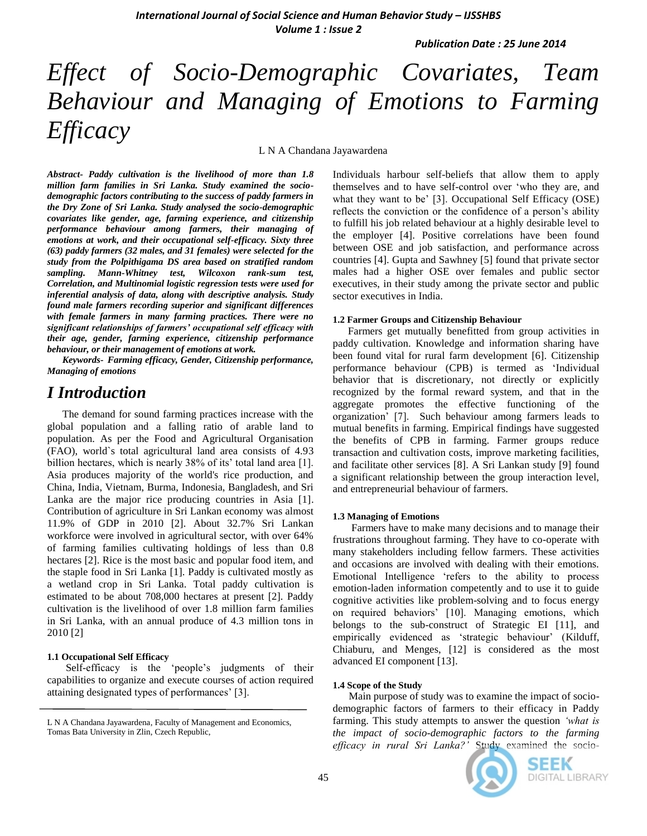*Publication Date : 25 June 2014*

# *Effect of Socio-Demographic Covariates, Team Behaviour and Managing of Emotions to Farming Efficacy*

L N A Chandana Jayawardena

*Abstract- Paddy cultivation is the livelihood of more than 1.8 million farm families in Sri Lanka. Study examined the sociodemographic factors contributing to the success of paddy farmers in the Dry Zone of Sri Lanka. Study analysed the socio-demographic covariates like gender, age, farming experience, and citizenship performance behaviour among farmers, their managing of emotions at work, and their occupational self-efficacy. Sixty three (63) paddy farmers (32 males, and 31 females) were selected for the study from the Polpithigama DS area based on stratified random sampling. Mann-Whitney test, Wilcoxon rank-sum test, Correlation, and Multinomial logistic regression tests were used for inferential analysis of data, along with descriptive analysis. Study found male farmers recording superior and significant differences with female farmers in many farming practices. There were no significant relationships of farmers' occupational self efficacy with their age, gender, farming experience, citizenship performance behaviour, or their management of emotions at work.*

*Keywords- Farming efficacy, Gender, Citizenship performance, Managing of emotions*

## *I Introduction*

The demand for sound farming practices increase with the global population and a falling ratio of arable land to population. As per the Food and Agricultural Organisation (FAO), world`s total agricultural land area consists of 4.93 billion hectares, which is nearly 38% of its' total land area [1]. Asia produces majority of the world's rice production, and China, India, Vietnam, Burma, Indonesia, Bangladesh, and Sri Lanka are the major rice producing countries in Asia [1]. Contribution of agriculture in Sri Lankan economy was almost 11.9% of GDP in 2010 [2]. About 32.7% Sri Lankan workforce were involved in agricultural sector, with over 64% of farming families cultivating holdings of less than 0.8 hectares [2]. Rice is the most basic and popular food item, and the staple food in Sri Lanka [1]. Paddy is cultivated mostly as a wetland crop in Sri Lanka. Total paddy cultivation is estimated to be about 708,000 hectares at present [2]. Paddy cultivation is the livelihood of over 1.8 million farm families in Sri Lanka, with an annual produce of 4.3 million tons in 2010 [2]

### **1.1 Occupational Self Efficacy**

 Self-efficacy is the 'people's judgments of their capabilities to organize and execute courses of action required attaining designated types of performances' [3].

Individuals harbour self-beliefs that allow them to apply themselves and to have self-control over 'who they are, and what they want to be' [3]. Occupational Self Efficacy (OSE) reflects the conviction or the confidence of a person's ability to fulfill his job related behaviour at a highly desirable level to the employer [4]. Positive correlations have been found between OSE and job satisfaction, and performance across countries [4]. Gupta and Sawhney [5] found that private sector males had a higher OSE over females and public sector executives, in their study among the private sector and public sector executives in India.

### **1.2 Farmer Groups and Citizenship Behaviour**

Farmers get mutually benefitted from group activities in paddy cultivation. Knowledge and information sharing have been found vital for rural farm development [6]. Citizenship performance behaviour (CPB) is termed as 'Individual behavior that is discretionary, not directly or explicitly recognized by the formal reward system, and that in the aggregate promotes the effective functioning of the organization' [7]. Such behaviour among farmers leads to mutual benefits in farming. Empirical findings have suggested the benefits of CPB in farming. Farmer groups reduce transaction and cultivation costs, improve marketing facilities, and facilitate other services [8]. A Sri Lankan study [9] found a significant relationship between the group interaction level, and entrepreneurial behaviour of farmers.

### **1.3 Managing of Emotions**

 Farmers have to make many decisions and to manage their frustrations throughout farming. They have to co-operate with many stakeholders including fellow farmers. These activities and occasions are involved with dealing with their emotions. Emotional Intelligence 'refers to the ability to process emotion-laden information competently and to use it to guide cognitive activities like problem-solving and to focus energy on required behaviors' [10]. Managing emotions, which belongs to the sub-construct of Strategic EI [11], and empirically evidenced as 'strategic behaviour' (Kilduff, Chiaburu, and Menges, [12] is considered as the most advanced EI component [13].

### **1.4 Scope of the Study**

 Main purpose of study was to examine the impact of sociodemographic factors of farmers to their efficacy in Paddy farming. This study attempts to answer the question *'what is the impact of socio-demographic factors to the farming efficacy in rural Sri Lanka?'* Study examined the socio-



SEEK DIGITAL LIBRARY

L N A Chandana Jayawardena, Faculty of Management and Economics, Tomas Bata University in Zlin, Czech Republic,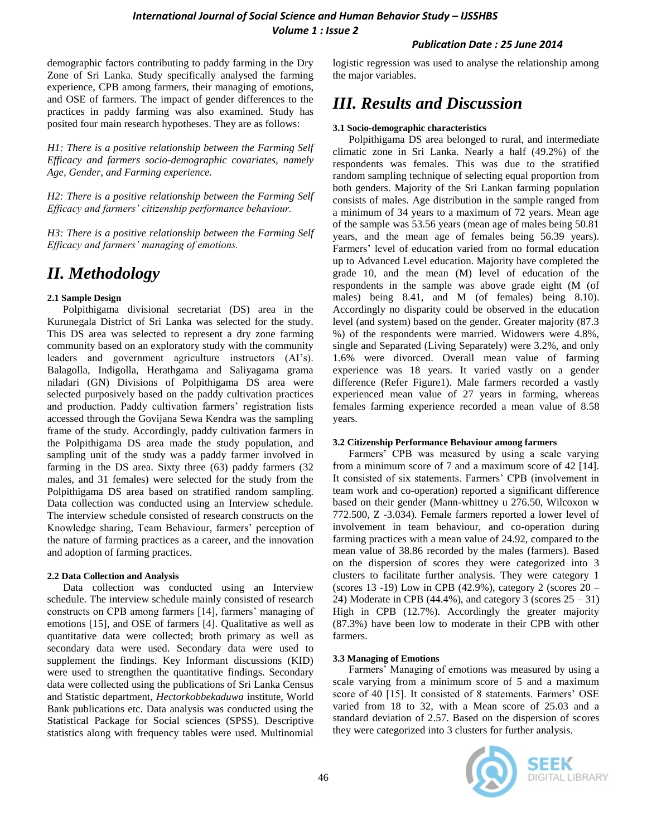### *Publication Date : 25 June 2014*

demographic factors contributing to paddy farming in the Dry Zone of Sri Lanka. Study specifically analysed the farming experience, CPB among farmers, their managing of emotions, and OSE of farmers. The impact of gender differences to the practices in paddy farming was also examined. Study has posited four main research hypotheses. They are as follows:

*H1: There is a positive relationship between the Farming Self Efficacy and farmers socio-demographic covariates, namely Age, Gender, and Farming experience.*

*H2: There is a positive relationship between the Farming Self Efficacy and farmers' citizenship performance behaviour.*

*H3: There is a positive relationship between the Farming Self Efficacy and farmers' managing of emotions.*

# *II. Methodology*

### **2.1 Sample Design**

 Polpithigama divisional secretariat (DS) area in the Kurunegala District of Sri Lanka was selected for the study. This DS area was selected to represent a dry zone farming community based on an exploratory study with the community leaders and government agriculture instructors (AI's). Balagolla, Indigolla, Herathgama and Saliyagama grama niladari (GN) Divisions of Polpithigama DS area were selected purposively based on the paddy cultivation practices and production. Paddy cultivation farmers' registration lists accessed through the Govijana Sewa Kendra was the sampling frame of the study. Accordingly, paddy cultivation farmers in the Polpithigama DS area made the study population, and sampling unit of the study was a paddy farmer involved in farming in the DS area. Sixty three (63) paddy farmers (32 males, and 31 females) were selected for the study from the Polpithigama DS area based on stratified random sampling. Data collection was conducted using an Interview schedule. The interview schedule consisted of research constructs on the Knowledge sharing, Team Behaviour, farmers' perception of the nature of farming practices as a career, and the innovation and adoption of farming practices.

### **2.2 Data Collection and Analysis**

 Data collection was conducted using an Interview schedule. The interview schedule mainly consisted of research constructs on CPB among farmers [14], farmers' managing of emotions [15], and OSE of farmers [4]. Qualitative as well as quantitative data were collected; broth primary as well as secondary data were used. Secondary data were used to supplement the findings. Key Informant discussions (KID) were used to strengthen the quantitative findings. Secondary data were collected using the publications of Sri Lanka Census and Statistic department, *Hectorkobbekaduwa* institute, World Bank publications etc. Data analysis was conducted using the Statistical Package for Social sciences (SPSS). Descriptive statistics along with frequency tables were used. Multinomial

logistic regression was used to analyse the relationship among the major variables.

# *III. Results and Discussion*

### **3.1 Socio-demographic characteristics**

 Polpithigama DS area belonged to rural, and intermediate climatic zone in Sri Lanka. Nearly a half (49.2%) of the respondents was females. This was due to the stratified random sampling technique of selecting equal proportion from both genders. Majority of the Sri Lankan farming population consists of males. Age distribution in the sample ranged from a minimum of 34 years to a maximum of 72 years. Mean age of the sample was 53.56 years (mean age of males being 50.81 years, and the mean age of females being 56.39 years). Farmers' level of education varied from no formal education up to Advanced Level education. Majority have completed the grade 10, and the mean (M) level of education of the respondents in the sample was above grade eight (M (of males) being 8.41, and M (of females) being 8.10). Accordingly no disparity could be observed in the education level (and system) based on the gender. Greater majority (87.3 %) of the respondents were married. Widowers were 4.8%, single and Separated (Living Separately) were 3.2%, and only 1.6% were divorced. Overall mean value of farming experience was 18 years. It varied vastly on a gender difference (Refer Figure1). Male farmers recorded a vastly experienced mean value of 27 years in farming, whereas females farming experience recorded a mean value of 8.58 years.

### **3.2 Citizenship Performance Behaviour among farmers**

 Farmers' CPB was measured by using a scale varying from a minimum score of 7 and a maximum score of 42 [14]. It consisted of six statements. Farmers' CPB (involvement in team work and co-operation) reported a significant difference based on their gender (Mann-whittney u 276.50, Wilcoxon w 772.500, Z -3.034). Female farmers reported a lower level of involvement in team behaviour, and co-operation during farming practices with a mean value of 24.92, compared to the mean value of 38.86 recorded by the males (farmers). Based on the dispersion of scores they were categorized into 3 clusters to facilitate further analysis. They were category 1 (scores 13 -19) Low in CPB (42.9%), category 2 (scores 20 – 24) Moderate in CPB (44.4%), and category 3 (scores  $25 - 31$ ) High in CPB (12.7%). Accordingly the greater majority (87.3%) have been low to moderate in their CPB with other farmers.

### **3.3 Managing of Emotions**

 Farmers' Managing of emotions was measured by using a scale varying from a minimum score of 5 and a maximum score of 40 [15]. It consisted of 8 statements. Farmers' OSE varied from 18 to 32, with a Mean score of 25.03 and a standard deviation of 2.57. Based on the dispersion of scores they were categorized into 3 clusters for further analysis.

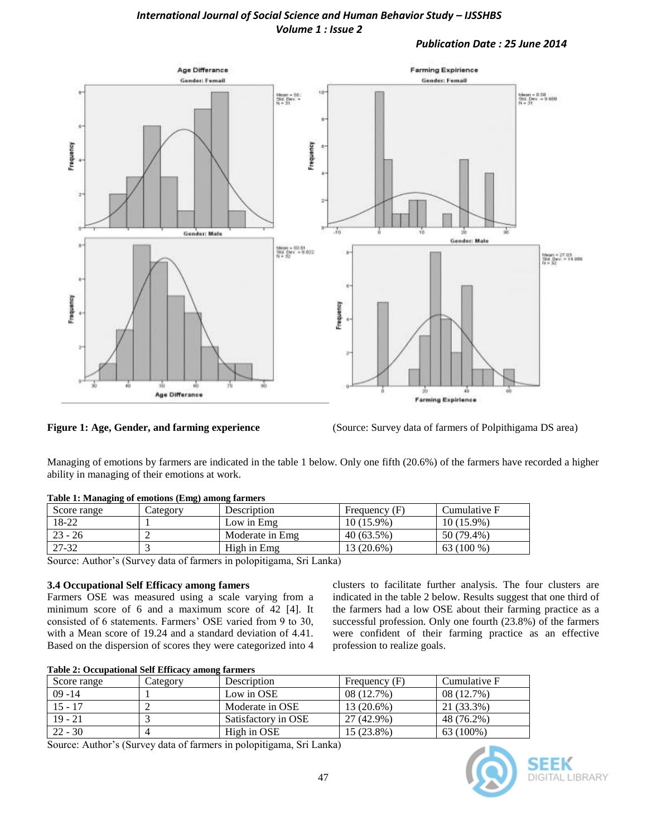### *International Journal of Social Science and Human Behavior Study – IJSSHBS Volume 1 : Issue 2*

*Publication Date : 25 June 2014*



**Figure 1: Age, Gender, and farming experience** (Source: Survey data of farmers of Polpithigama DS area)

Managing of emotions by farmers are indicated in the table 1 below. Only one fifth (20.6%) of the farmers have recorded a higher ability in managing of their emotions at work.

| $\frac{1}{2}$ and $\frac{1}{2}$ and $\frac{1}{2}$ and $\frac{1}{2}$ and $\frac{1}{2}$ and $\frac{1}{2}$ and $\frac{1}{2}$ and $\frac{1}{2}$ are model.<br>Score range | Category | Description      | Frequency $(F)$ | Cumulative F |
|-----------------------------------------------------------------------------------------------------------------------------------------------------------------------|----------|------------------|-----------------|--------------|
| 18-22                                                                                                                                                                 |          | Low in Emg.      | $10(15.9\%)$    | $10(15.9\%)$ |
| $23 - 26$                                                                                                                                                             |          | Moderate in Emg. | $40(63.5\%)$    | 50 (79.4%)   |
| $27 - 32$                                                                                                                                                             |          | High in Emg      | 13 (20.6%)      | 63 (100 %)   |

### **Table 1: Managing of emotions (Emg) among farmers**

Source: Author's (Survey data of farmers in polopitigama, Sri Lanka)

### **3.4 Occupational Self Efficacy among famers**

Farmers OSE was measured using a scale varying from a minimum score of 6 and a maximum score of 42 [4]. It consisted of 6 statements. Farmers' OSE varied from 9 to 30, with a Mean score of 19.24 and a standard deviation of 4.41. Based on the dispersion of scores they were categorized into 4

clusters to facilitate further analysis. The four clusters are indicated in the table 2 below. Results suggest that one third of the farmers had a low OSE about their farming practice as a successful profession. Only one fourth (23.8%) of the farmers were confident of their farming practice as an effective profession to realize goals.

### **Table 2: Occupational Self Efficacy among farmers**

| Score range | Category | Description         | Frequency (F) | Cumulative F |
|-------------|----------|---------------------|---------------|--------------|
| $09 - 14$   |          | Low in OSE          | 08 (12.7%)    | 08(12.7%)    |
| 15 - 17     |          | Moderate in OSE     | 13 (20.6%)    | 21 (33.3%)   |
| $19 - 21$   |          | Satisfactory in OSE | 27 (42.9%)    | 48 (76.2%)   |
| $22 - 30$   |          | High in OSE         | 15 (23.8%)    | 63 (100%)    |

Source: Author's (Survey data of farmers in polopitigama, Sri Lanka)

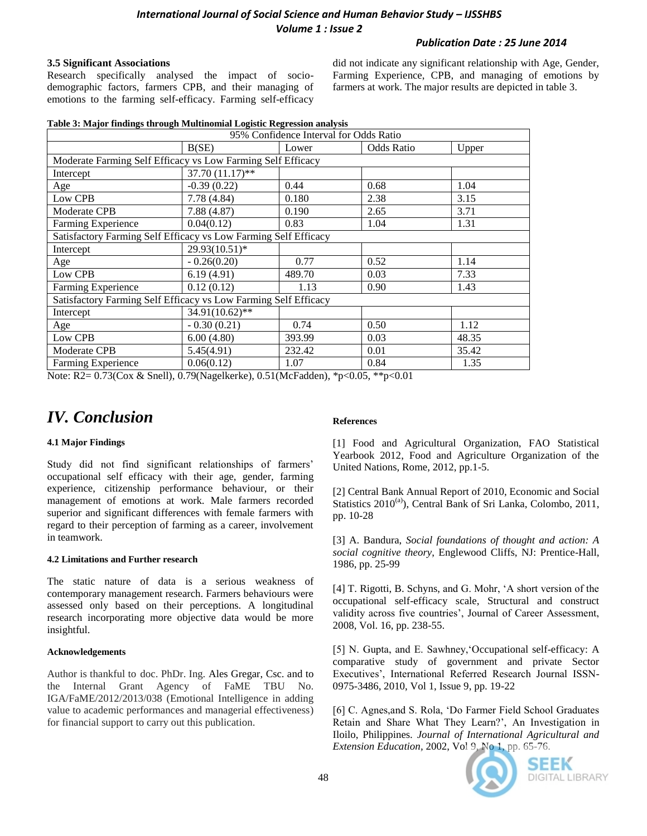### *International Journal of Social Science and Human Behavior Study – IJSSHBS Volume 1 : Issue 2*

### *Publication Date : 25 June 2014*

### **3.5 Significant Associations**

Research specifically analysed the impact of sociodemographic factors, farmers CPB, and their managing of emotions to the farming self-efficacy. Farming self-efficacy did not indicate any significant relationship with Age, Gender, Farming Experience, CPB, and managing of emotions by farmers at work. The major results are depicted in table 3.

|                                                                 |                   | 95% Confidence Interval for Odds Ratio |                   |       |
|-----------------------------------------------------------------|-------------------|----------------------------------------|-------------------|-------|
|                                                                 | B(SE)             | Lower                                  | <b>Odds Ratio</b> | Upper |
| Moderate Farming Self Efficacy vs Low Farming Self Efficacy     |                   |                                        |                   |       |
| Intercept                                                       | $37.70(11.17)$ ** |                                        |                   |       |
| Age                                                             | $-0.39(0.22)$     | 0.44                                   | 0.68              | 1.04  |
| Low CPB                                                         | 7.78(4.84)        | 0.180                                  | 2.38              | 3.15  |
| Moderate CPB                                                    | 7.88(4.87)        | 0.190                                  | 2.65              | 3.71  |
| Farming Experience                                              | 0.04(0.12)        | 0.83                                   | 1.04              | 1.31  |
| Satisfactory Farming Self Efficacy vs Low Farming Self Efficacy |                   |                                        |                   |       |
| Intercept                                                       | 29.93(10.51)*     |                                        |                   |       |
| Age                                                             | $-0.26(0.20)$     | 0.77                                   | 0.52              | 1.14  |
| Low CPB                                                         | 6.19(4.91)        | 489.70                                 | 0.03              | 7.33  |
| Farming Experience                                              | 0.12(0.12)        | 1.13                                   | 0.90              | 1.43  |
| Satisfactory Farming Self Efficacy vs Low Farming Self Efficacy |                   |                                        |                   |       |
| Intercept                                                       | $34.91(10.62)$ ** |                                        |                   |       |
| Age                                                             | $-0.30(0.21)$     | 0.74                                   | 0.50              | 1.12  |
| Low CPB                                                         | 6.00(4.80)        | 393.99                                 | 0.03              | 48.35 |
| Moderate CPB                                                    | 5.45(4.91)        | 232.42                                 | 0.01              | 35.42 |
| Farming Experience                                              | 0.06(0.12)        | 1.07                                   | 0.84              | 1.35  |

Note: R2= 0.73(Cox & Snell), 0.79(Nagelkerke), 0.51(McFadden), \*p<0.05, \*\*p<0.01

# *IV. Conclusion*

### **4.1 Major Findings**

Study did not find significant relationships of farmers' occupational self efficacy with their age, gender, farming experience, citizenship performance behaviour, or their management of emotions at work. Male farmers recorded superior and significant differences with female farmers with regard to their perception of farming as a career, involvement in teamwork.

### **4.2 Limitations and Further research**

The static nature of data is a serious weakness of contemporary management research. Farmers behaviours were assessed only based on their perceptions. A longitudinal research incorporating more objective data would be more insightful.

### **Acknowledgements**

Author is thankful to doc. PhDr. Ing. Ales Gregar, Csc. and to the Internal Grant Agency of FaME TBU No. IGA/FaME/2012/2013/038 (Emotional Intelligence in adding value to academic performances and managerial effectiveness) for financial support to carry out this publication.

### **References**

[1] Food and Agricultural Organization, FAO Statistical Yearbook 2012, Food and Agriculture Organization of the United Nations, Rome, 2012, pp.1-5.

[2] Central Bank Annual Report of 2010, Economic and Social Statistics 2010<sup>(a)</sup>), Central Bank of Sri Lanka, Colombo, 2011, pp. 10-28

[3] A. Bandura, *Social foundations of thought and action: A social cognitive theory*, Englewood Cliffs, NJ: Prentice-Hall, 1986, pp. 25-99

[4] T. Rigotti, B. Schyns, and G. Mohr, 'A short version of the occupational self-efficacy scale, Structural and construct validity across five countries', Journal of Career Assessment, 2008, Vol. 16, pp. 238-55.

[5] N. Gupta, and E. Sawhney,'Occupational self-efficacy: A comparative study of government and private Sector Executives', International Referred Research Journal ISSN-0975-3486, 2010, Vol 1, Issue 9, pp. 19-22

[6] C. Agnes,and S. Rola, 'Do Farmer Field School Graduates Retain and Share What They Learn?', An Investigation in Iloilo, Philippines. *Journal of International Agricultural and Extension Education,* 2002, Vol 9, No 1, pp. 65-76.